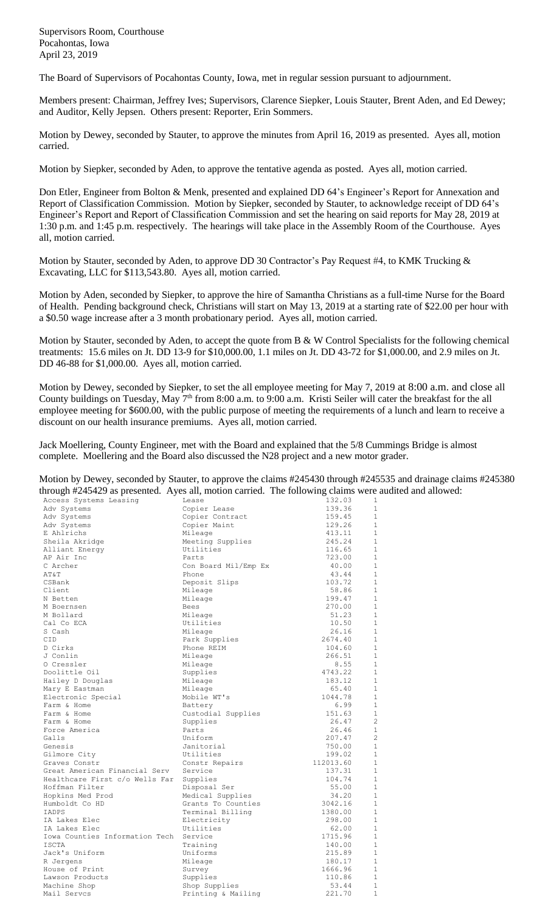Supervisors Room, Courthouse Pocahontas, Iowa April 23, 2019

The Board of Supervisors of Pocahontas County, Iowa, met in regular session pursuant to adjournment.

Members present: Chairman, Jeffrey Ives; Supervisors, Clarence Siepker, Louis Stauter, Brent Aden, and Ed Dewey; and Auditor, Kelly Jepsen. Others present: Reporter, Erin Sommers.

Motion by Dewey, seconded by Stauter, to approve the minutes from April 16, 2019 as presented. Ayes all, motion carried.

Motion by Siepker, seconded by Aden, to approve the tentative agenda as posted. Ayes all, motion carried.

Don Etler, Engineer from Bolton & Menk, presented and explained DD 64's Engineer's Report for Annexation and Report of Classification Commission. Motion by Siepker, seconded by Stauter, to acknowledge receipt of DD 64's Engineer's Report and Report of Classification Commission and set the hearing on said reports for May 28, 2019 at 1:30 p.m. and 1:45 p.m. respectively. The hearings will take place in the Assembly Room of the Courthouse. Ayes all, motion carried.

Motion by Stauter, seconded by Aden, to approve DD 30 Contractor's Pay Request #4, to KMK Trucking & Excavating, LLC for \$113,543.80. Ayes all, motion carried.

Motion by Aden, seconded by Siepker, to approve the hire of Samantha Christians as a full-time Nurse for the Board of Health. Pending background check, Christians will start on May 13, 2019 at a starting rate of \$22.00 per hour with a \$0.50 wage increase after a 3 month probationary period. Ayes all, motion carried.

Motion by Stauter, seconded by Aden, to accept the quote from B & W Control Specialists for the following chemical treatments: 15.6 miles on Jt. DD 13-9 for \$10,000.00, 1.1 miles on Jt. DD 43-72 for \$1,000.00, and 2.9 miles on Jt. DD 46-88 for \$1,000.00. Ayes all, motion carried.

Motion by Dewey, seconded by Siepker, to set the all employee meeting for May 7, 2019 at 8:00 a.m. and close all County buildings on Tuesday, May 7<sup>th</sup> from 8:00 a.m. to 9:00 a.m. Kristi Seiler will cater the breakfast for the all employee meeting for \$600.00, with the public purpose of meeting the requirements of a lunch and learn to receive a discount on our health insurance premiums. Ayes all, motion carried.

Jack Moellering, County Engineer, met with the Board and explained that the 5/8 Cummings Bridge is almost complete. Moellering and the Board also discussed the N28 project and a new motor grader.

|                                                                                                        | Motion by Dewey, seconded by Stauter, to approve the claims #245430 through #245535 and drainage claims #245380 |
|--------------------------------------------------------------------------------------------------------|-----------------------------------------------------------------------------------------------------------------|
| through #245429 as presented. Ayes all, motion carried. The following claims were audited and allowed: |                                                                                                                 |

| Access Systems Leasing                 | Lease                | 132.03    | 1              |
|----------------------------------------|----------------------|-----------|----------------|
| Adv Systems                            | Copier Lease         | 139.36    | $\mathbf{1}$   |
| Adv Systems                            | Copier Contract      | 159.45    | $\mathbf{1}$   |
| Adv Systems                            | Copier Maint         | 129.26    | $\mathbf{1}$   |
| E Ahlrichs                             | Mileage              | 413.11    | $\mathbf{1}$   |
| Sheila Akridge                         | Meeting Supplies     | 245.24    | $\mathbf{1}$   |
| Alliant Energy                         | Utilities            | 116.65    | $\mathbf{1}$   |
| AP Air Inc                             | Parts                | 723.00    | $\mathbf{1}$   |
| C Archer                               | Con Board Mil/Emp Ex | 40.00     | $\mathbf{1}$   |
| AT&T                                   | Phone                | 43.44     | $\mathbf{1}$   |
| CSBank                                 | Deposit Slips        | 103.72    | $\mathbf{1}$   |
| Client                                 | Mileage              | 58.86     | $\mathbf{1}$   |
| N Betten                               | Mileage              | 199.47    | $\mathbf{1}$   |
| M Boernsen                             | Bees                 | 270.00    | $\mathbf{1}$   |
| M Bollard                              | Mileage              | 51.23     | $1\,$          |
| Cal Co ECA                             | Utilities            | 10.50     | $\mathbf{1}$   |
| S Cash                                 | Mileage              | 26.16     | $\mathbf{1}$   |
| CID                                    | Park Supplies        | 2674.40   | $\mathbf{1}$   |
| D Cirks                                | Phone REIM           | 104.60    | $\mathbf{1}$   |
| J Conlin                               | Mileage              | 266.51    | 1              |
| O Cressler                             | Mileage              | 8.55      | $\mathbf{1}$   |
| Doolittle Oil                          | Supplies             | 4743.22   | $\mathbf{1}$   |
| Hailey D Douglas                       | Mileage              | 183.12    | $\mathbf{1}$   |
| Mary E Eastman                         | Mileage              | 65.40     | $\mathbf{1}$   |
| Electronic Special                     | Mobile WT's          | 1044.78   | $\mathbf{1}$   |
| Farm & Home                            | Battery              | 6.99      | $\mathbf{1}$   |
| Farm & Home                            | Custodial Supplies   | 151.63    | $\mathbf{1}$   |
| Farm & Home                            | Supplies             | 26.47     | $\overline{c}$ |
| Force America                          | Parts                | 26.46     | $\mathbf{1}$   |
| Galls                                  | Uniform              | 207.47    | $\overline{2}$ |
| Genesis                                | Janitorial           | 750.00    | $\mathbf{1}$   |
| Gilmore City                           | Utilities            | 199.02    | $\mathbf{1}$   |
| Graves Constr                          | Constr Repairs       | 112013.60 | $\mathbf{1}$   |
| Great American Financial Serv          | Service              | 137.31    | $\mathbf{1}$   |
| Healthcare First c/o Wells Far         | Supplies             | 104.74    | $\mathbf{1}$   |
| Hoffman Filter                         | Disposal Ser         | 55.00     | $1\,$          |
| Hopkins Med Prod                       | Medical Supplies     | 34.20     | $\mathbf{1}$   |
| Humboldt Co HD                         | Grants To Counties   | 3042.16   | $\mathbf{1}$   |
| IADPS                                  | Terminal Billing     | 1380.00   | $\mathbf{1}$   |
| IA Lakes Elec                          | Electricity          | 298.00    | $\mathbf{1}$   |
| IA Lakes Elec                          | Utilities            | 62.00     | $\mathbf{1}$   |
| Iowa Counties Information Tech Service |                      | 1715.96   | $\mathbf{1}$   |
| <b>TSCTA</b>                           | Training             | 140.00    | $\mathbf{1}$   |
| Jack's Uniform                         | Uniforms             | 215.89    | $\mathbf{1}$   |
| R Jergens                              | Mileage              | 180.17    | $\mathbf{1}$   |
| House of Print                         | Survey               | 1666.96   | $\mathbf{1}$   |
| Lawson Products                        | Supplies             | 110.86    | $\mathbf{1}$   |
| Machine Shop                           | Shop Supplies        | 53.44     | $\mathbf{1}$   |
| Mail Servcs                            | Printing & Mailing   | 221.70    | $\mathbf{1}$   |